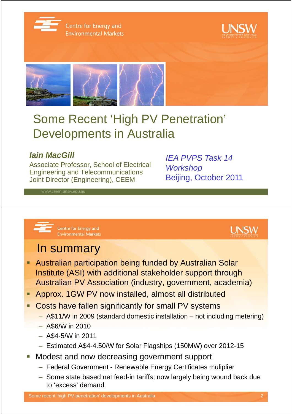

Centre for Energy and **Environmental Markets** 





# Some Recent 'High PV Penetration' Developments in Australia

### **Iain MacGill**

Associate Professor, School of Electrical Engineering and Telecommunications Joint Director (Engineering), CEEM

IEA PVPS Task 14 **Workshop** Beijing, October 2011





### In summary

- **Australian participation being funded by Australian Solar** Institute (ASI) with additional stakeholder support through Australian PV Association (industry, government, academia)
- Approx. 1GW PV now installed, almost all distributed
- **Costs have fallen significantly for small PV systems** 
	- A\$11/W in 2009 (standard domestic installation not including metering)
	- A\$6/W in 2010
	- A\$4-5/W in 2011
	- Estimated A\$4-4.50/W for Solar Flagships (150MW) over 2012-15
- Modest and now decreasing government support
	- Federal Government Renewable Energy Certificates muliplier
	- Some state based net feed-in tariffs; now largely being wound back due to 'excess' demand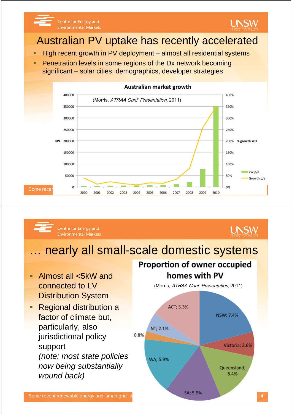



### Australian PV uptake has recently accelerated

- $\blacksquare$  High recent growth in PV deployment almost all residential systems
- Penetration levels in some regions of the Dx network becoming significant – solar cities, demographics, developer strategies



#### Centre for Energy and **Environmental Markets**

### **UNSW**

### nearly all small-scale domestic systems

- Almost all <5kW and connected to LV Distribution System
- Regional distribution a factor of climate but, particularly, also jurisdictional policy support (note: most state policies now being substantially wound back)

### **Proportion of owner occupied** homes with PV

(Morris, ATRAA Conf. Presentation, 2011)

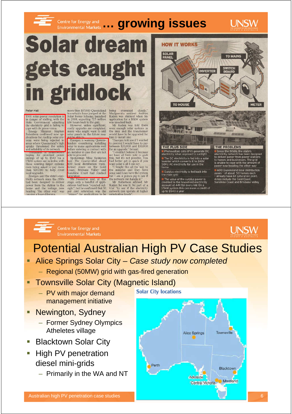

### Centre for Energy and **growing issues**



# **Solar dream** gets caught in gridlock

#### Peter Hall

Free ran<br>THE solar power revolution is<br>in danger of stalling, with the<br>state Government admitting the electricity grid is failing to<br>cope with its green vision.<br>Energy Minister Stephen<br>Robertson confirmed new ap-<br>plication

hoping for promised power<br>savings of up to \$540 via a<br>1.5kW system are in limbo, with<br>those wanting larger systems<br>even being asked to pay more<br>than \$20.000 to help cover

more than 107,000 Queensland more than  $107,000$  Queensland<br>households have jumped at the<br>Solar Bonus Scheme, launched<br>in 2008, exporting 72.5 million<br>kW hours back to the grid.<br>However, unless significant,<br>costly upgrades are completed,<br>many who mig

not be able to<br>
Energex is warning Queens-<br>
Energex is warning Queens-<br>
anders considering installing<br>
solar to make applications well<br>
an installer in case they are not<br>
an installer in case they are not<br>
solar to proceed aturation. Swanston said at this





# Potential Australian High PV Case Studies

- Alice Springs Solar City Case study now completed
	- Regional (50MW) grid with gas-fired generation
- Townsville Solar City (Magnetic Island)
	- PV with major demand management initiative

Centre for Energy and

**Environmental Markets** 

- Newington, Sydney
	- Former Sydney Olympics Atheletes village
- Blacktown Solar City
- High PV penetration diesel mini-grids
	- Primarily in the WA and NT

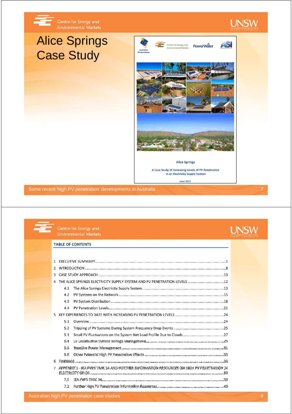

## Alice Springs Case Study





**June 2011** 

Some recent 'high PV penetration' developments in Australia 7

#### Centre for Energy and **Environmental Markets**

#### **TABLE OF CONTENTS**

|    | $\mathcal{P}$ |     |                                                                                                                                                                                                                                          |  |  |
|----|---------------|-----|------------------------------------------------------------------------------------------------------------------------------------------------------------------------------------------------------------------------------------------|--|--|
|    | 3             |     |                                                                                                                                                                                                                                          |  |  |
|    |               |     |                                                                                                                                                                                                                                          |  |  |
|    |               | 4.1 |                                                                                                                                                                                                                                          |  |  |
|    |               | 4.2 |                                                                                                                                                                                                                                          |  |  |
|    |               | 4.3 |                                                                                                                                                                                                                                          |  |  |
|    |               | 4.4 |                                                                                                                                                                                                                                          |  |  |
|    |               |     |                                                                                                                                                                                                                                          |  |  |
|    |               | 5.1 |                                                                                                                                                                                                                                          |  |  |
|    |               | 5.2 |                                                                                                                                                                                                                                          |  |  |
|    |               | 5.3 |                                                                                                                                                                                                                                          |  |  |
|    |               | 5.4 |                                                                                                                                                                                                                                          |  |  |
|    |               | 5.5 | Resolution Porter Meteorolyte defined the consequence of the complete the contraction and the consequence of the consequence of the consequence of the consequence of the consequence of the consequence of the consequence of           |  |  |
|    |               | 5.6 |                                                                                                                                                                                                                                          |  |  |
| £. |               |     | том на после постояния на полне на после на полне на полне на полне на полне на полне на полне на полне на полне на полне на полне на полне на полне на полне на полне на полне. В де                                                    |  |  |
|    | -3            |     | appendik 1 - Iea pwys task 1a and hunthre information resoligoes on high pv penetration in<br>ат с стенить и с пример.<br>Пара 1988 № 1998 № 1998 года составляется постояние можно постояние составляется постоянных постояние составля |  |  |
|    |               | 7.1 | 1988 - Paris 1980 - A discussions de la componentation de la componentation de la componentation de la componentation de la componentation de la componentation de la componentation de la componentation de la componentation           |  |  |
|    |               | 7.2 |                                                                                                                                                                                                                                          |  |  |

### **UNSW**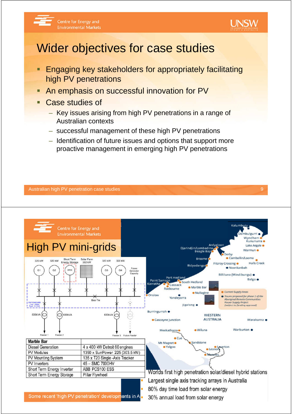



### Wider objectives for case studies

- **Engaging key stakeholders for appropriately facilitating** high PV penetrations
- **An emphasis on successful innovation for PV**
- Case studies of
	- Key issues arising from high PV penetrations in a range of Australian contexts
	- successful management of these high PV penetrations
	- Identification of future issues and options that support more proactive management in emerging high PV penetrations



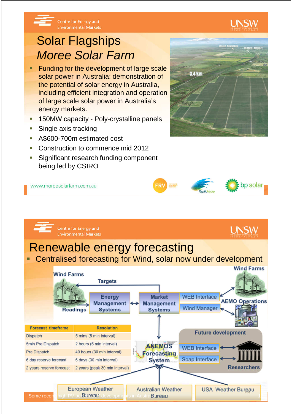

### **Environmental Markets** Solar Flagships

Centre for Energy and

Moree Solar Farm

- Funding for the development of large scale solar power in Australia: demonstration of the potential of solar energy in Australia, including efficient integration and operation of large scale solar power in Australia's energy markets.
- 150MW capacity Poly-crystalline panels
- Single axis tracking
- A\$600-700m estimated cost
- Construction to commence mid 2012
- Significant research funding component being led by CSIRO



UNSW